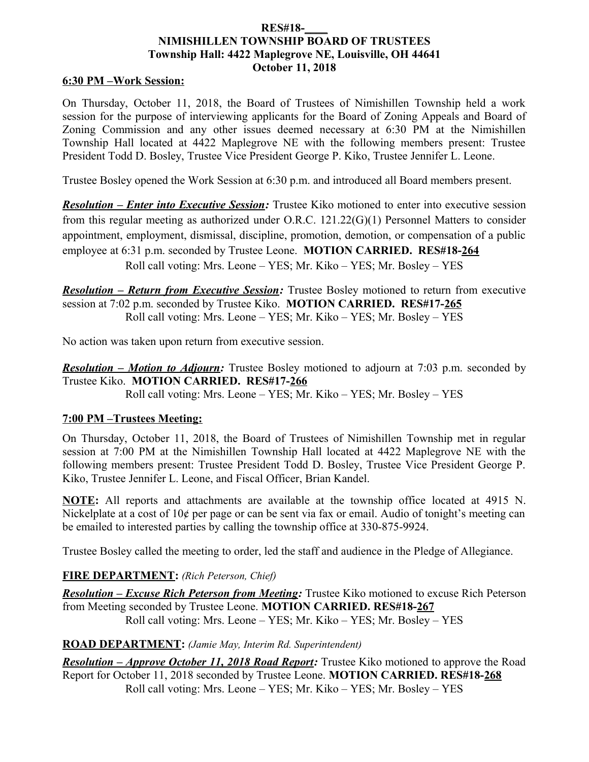### **RES#18-\_\_\_\_ NIMISHILLEN TOWNSHIP BOARD OF TRUSTEES Township Hall: 4422 Maplegrove NE, Louisville, OH 44641 October 11, 2018**

#### **6:30 PM –Work Session:**

On Thursday, October 11, 2018, the Board of Trustees of Nimishillen Township held a work session for the purpose of interviewing applicants for the Board of Zoning Appeals and Board of Zoning Commission and any other issues deemed necessary at 6:30 PM at the Nimishillen Township Hall located at 4422 Maplegrove NE with the following members present: Trustee President Todd D. Bosley, Trustee Vice President George P. Kiko, Trustee Jennifer L. Leone.

Trustee Bosley opened the Work Session at 6:30 p.m. and introduced all Board members present.

*Resolution – Enter into Executive Session:* Trustee Kiko motioned to enter into executive session from this regular meeting as authorized under O.R.C. 121.22(G)(1) Personnel Matters to consider appointment, employment, dismissal, discipline, promotion, demotion, or compensation of a public employee at 6:31 p.m. seconded by Trustee Leone. **MOTION CARRIED. RES#18-264** Roll call voting: Mrs. Leone – YES; Mr. Kiko – YES; Mr. Bosley – YES

*Resolution – Return from Executive Session:* Trustee Bosley motioned to return from executive session at 7:02 p.m. seconded by Trustee Kiko. **MOTION CARRIED. RES#17-265** Roll call voting: Mrs. Leone – YES; Mr. Kiko – YES; Mr. Bosley – YES

No action was taken upon return from executive session.

*Resolution – Motion to Adjourn:* Trustee Bosley motioned to adjourn at 7:03 p.m. seconded by Trustee Kiko. **MOTION CARRIED. RES#17-266** Roll call voting: Mrs. Leone – YES; Mr. Kiko – YES; Mr. Bosley – YES

### **7:00 PM –Trustees Meeting:**

On Thursday, October 11, 2018, the Board of Trustees of Nimishillen Township met in regular session at 7:00 PM at the Nimishillen Township Hall located at 4422 Maplegrove NE with the following members present: Trustee President Todd D. Bosley, Trustee Vice President George P. Kiko, Trustee Jennifer L. Leone, and Fiscal Officer, Brian Kandel.

**NOTE:** All reports and attachments are available at the township office located at 4915 N. Nickelplate at a cost of 10¢ per page or can be sent via fax or email. Audio of tonight's meeting can be emailed to interested parties by calling the township office at 330-875-9924.

Trustee Bosley called the meeting to order, led the staff and audience in the Pledge of Allegiance.

### **FIRE DEPARTMENT:** *(Rich Peterson, Chief)*

*Resolution – Excuse Rich Peterson from Meeting:* Trustee Kiko motioned to excuse Rich Peterson from Meeting seconded by Trustee Leone. **MOTION CARRIED. RES#18-267** Roll call voting: Mrs. Leone – YES; Mr. Kiko – YES; Mr. Bosley – YES

### **ROAD DEPARTMENT:** *(Jamie May, Interim Rd. Superintendent)*

*Resolution – Approve October 11, 2018 Road Report:* Trustee Kiko motioned to approve the Road Report for October 11, 2018 seconded by Trustee Leone. **MOTION CARRIED. RES#18-268** Roll call voting: Mrs. Leone – YES; Mr. Kiko – YES; Mr. Bosley – YES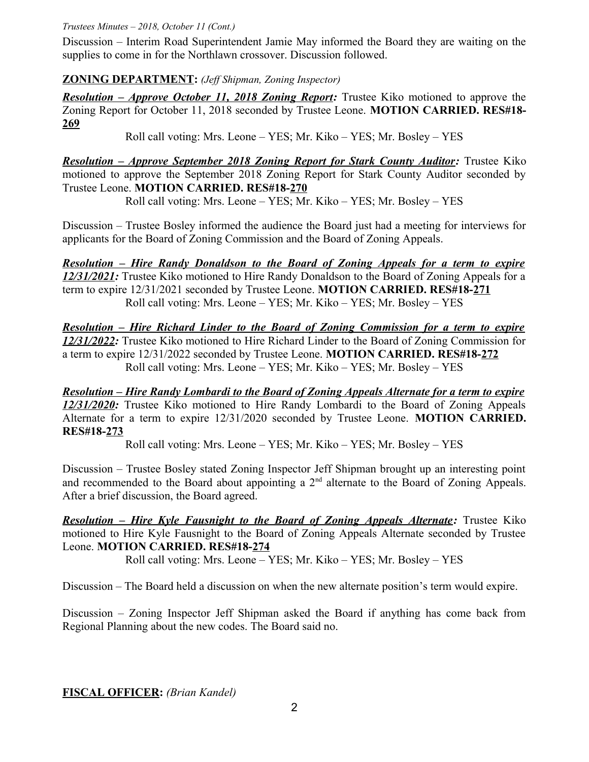*Trustees Minutes – 2018, October 11 (Cont.)*

Discussion – Interim Road Superintendent Jamie May informed the Board they are waiting on the supplies to come in for the Northlawn crossover. Discussion followed.

## **ZONING DEPARTMENT:** *(Jeff Shipman, Zoning Inspector)*

*Resolution – Approve October 11, 2018 Zoning Report:* Trustee Kiko motioned to approve the Zoning Report for October 11, 2018 seconded by Trustee Leone. **MOTION CARRIED. RES#18- 269**

Roll call voting: Mrs. Leone – YES; Mr. Kiko – YES; Mr. Bosley – YES

*Resolution – Approve September 2018 Zoning Report for Stark County Auditor: Trustee Kiko* motioned to approve the September 2018 Zoning Report for Stark County Auditor seconded by Trustee Leone. **MOTION CARRIED. RES#18-270**

Roll call voting: Mrs. Leone – YES; Mr. Kiko – YES; Mr. Bosley – YES

Discussion – Trustee Bosley informed the audience the Board just had a meeting for interviews for applicants for the Board of Zoning Commission and the Board of Zoning Appeals.

*Resolution – Hire Randy Donaldson to the Board of Zoning Appeals for a term to expire 12/31/2021:* Trustee Kiko motioned to Hire Randy Donaldson to the Board of Zoning Appeals for a term to expire 12/31/2021 seconded by Trustee Leone. **MOTION CARRIED. RES#18-271** Roll call voting: Mrs. Leone – YES; Mr. Kiko – YES; Mr. Bosley – YES

*Resolution – Hire Richard Linder to the Board of Zoning Commission for a term to expire 12/31/2022:* Trustee Kiko motioned to Hire Richard Linder to the Board of Zoning Commission for a term to expire 12/31/2022 seconded by Trustee Leone. **MOTION CARRIED. RES#18-272** Roll call voting: Mrs. Leone – YES; Mr. Kiko – YES; Mr. Bosley – YES

*Resolution – Hire Randy Lombardi to the Board of Zoning Appeals Alternate for a term to expire 12/31/2020:* Trustee Kiko motioned to Hire Randy Lombardi to the Board of Zoning Appeals Alternate for a term to expire 12/31/2020 seconded by Trustee Leone. **MOTION CARRIED. RES#18-273**

Roll call voting: Mrs. Leone – YES; Mr. Kiko – YES; Mr. Bosley – YES

Discussion – Trustee Bosley stated Zoning Inspector Jeff Shipman brought up an interesting point and recommended to the Board about appointing a  $2<sup>nd</sup>$  alternate to the Board of Zoning Appeals. After a brief discussion, the Board agreed.

*Resolution – Hire Kyle Fausnight to the Board of Zoning Appeals Alternate: Trustee Kiko* motioned to Hire Kyle Fausnight to the Board of Zoning Appeals Alternate seconded by Trustee Leone. **MOTION CARRIED. RES#18-274**

Roll call voting: Mrs. Leone – YES; Mr. Kiko – YES; Mr. Bosley – YES

Discussion – The Board held a discussion on when the new alternate position's term would expire.

Discussion – Zoning Inspector Jeff Shipman asked the Board if anything has come back from Regional Planning about the new codes. The Board said no.

**FISCAL OFFICER:** *(Brian Kandel)*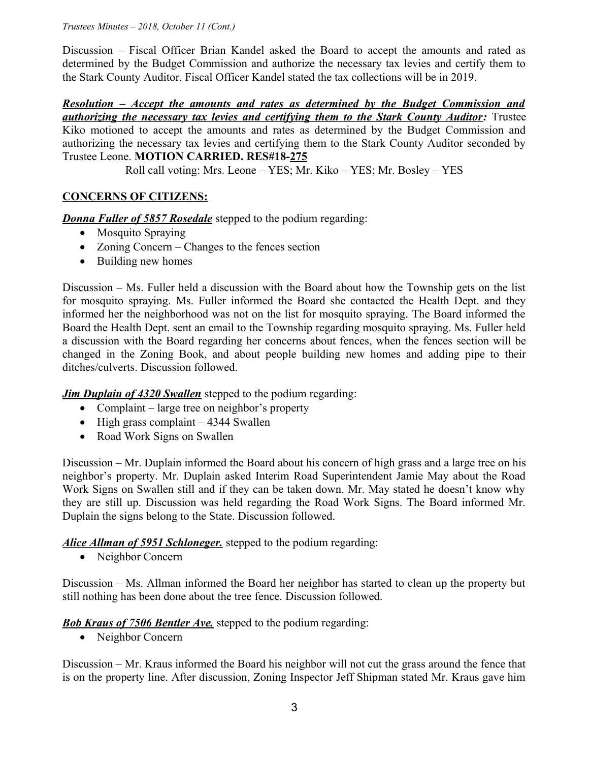*Trustees Minutes – 2018, October 11 (Cont.)*

Discussion – Fiscal Officer Brian Kandel asked the Board to accept the amounts and rated as determined by the Budget Commission and authorize the necessary tax levies and certify them to the Stark County Auditor. Fiscal Officer Kandel stated the tax collections will be in 2019.

*Resolution – Accept the amounts and rates as determined by the Budget Commission and authorizing the necessary tax levies and certifying them to the Stark County Auditor:* Trustee Kiko motioned to accept the amounts and rates as determined by the Budget Commission and authorizing the necessary tax levies and certifying them to the Stark County Auditor seconded by Trustee Leone. **MOTION CARRIED. RES#18-275**

Roll call voting: Mrs. Leone – YES; Mr. Kiko – YES; Mr. Bosley – YES

# **CONCERNS OF CITIZENS:**

*Donna Fuller of 5857 Rosedale* stepped to the podium regarding:

- Mosquito Spraying
- Zoning Concern Changes to the fences section
- Building new homes

Discussion – Ms. Fuller held a discussion with the Board about how the Township gets on the list for mosquito spraying. Ms. Fuller informed the Board she contacted the Health Dept. and they informed her the neighborhood was not on the list for mosquito spraying. The Board informed the Board the Health Dept. sent an email to the Township regarding mosquito spraying. Ms. Fuller held a discussion with the Board regarding her concerns about fences, when the fences section will be changed in the Zoning Book, and about people building new homes and adding pipe to their ditches/culverts. Discussion followed.

*Jim Duplain of 4320 Swallen* stepped to the podium regarding:

- Complaint large tree on neighbor's property
- $\bullet$  High grass complaint 4344 Swallen
- Road Work Signs on Swallen

Discussion – Mr. Duplain informed the Board about his concern of high grass and a large tree on his neighbor's property. Mr. Duplain asked Interim Road Superintendent Jamie May about the Road Work Signs on Swallen still and if they can be taken down. Mr. May stated he doesn't know why they are still up. Discussion was held regarding the Road Work Signs. The Board informed Mr. Duplain the signs belong to the State. Discussion followed.

*Alice Allman of 5951 Schloneger.* stepped to the podium regarding:

• Neighbor Concern

Discussion – Ms. Allman informed the Board her neighbor has started to clean up the property but still nothing has been done about the tree fence. Discussion followed.

## **Bob Kraus of 7506 Bentler Ave.** stepped to the podium regarding:

• Neighbor Concern

Discussion – Mr. Kraus informed the Board his neighbor will not cut the grass around the fence that is on the property line. After discussion, Zoning Inspector Jeff Shipman stated Mr. Kraus gave him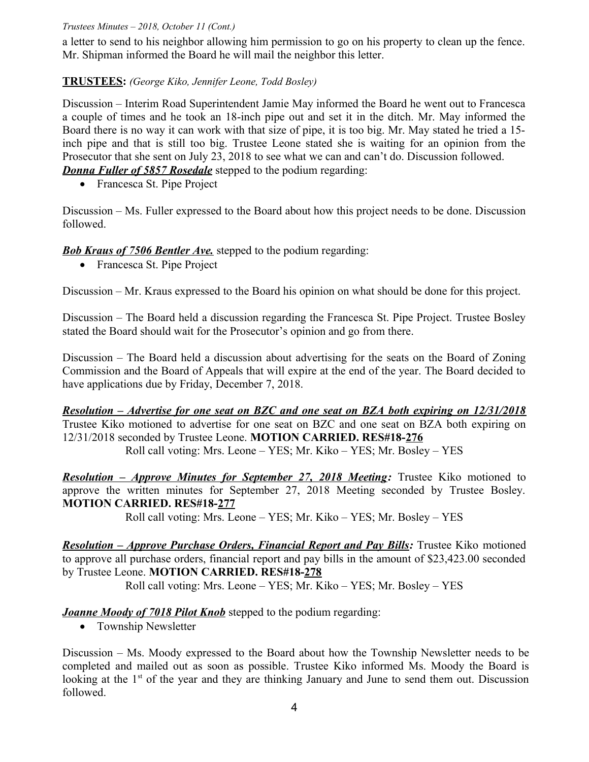### *Trustees Minutes – 2018, October 11 (Cont.)*

a letter to send to his neighbor allowing him permission to go on his property to clean up the fence. Mr. Shipman informed the Board he will mail the neighbor this letter.

## **TRUSTEES:** *(George Kiko, Jennifer Leone, Todd Bosley)*

Discussion – Interim Road Superintendent Jamie May informed the Board he went out to Francesca a couple of times and he took an 18-inch pipe out and set it in the ditch. Mr. May informed the Board there is no way it can work with that size of pipe, it is too big. Mr. May stated he tried a 15 inch pipe and that is still too big. Trustee Leone stated she is waiting for an opinion from the Prosecutor that she sent on July 23, 2018 to see what we can and can't do. Discussion followed. *Donna Fuller of 5857 Rosedale* stepped to the podium regarding:

• Francesca St. Pipe Project

Discussion – Ms. Fuller expressed to the Board about how this project needs to be done. Discussion followed.

### *Bob Kraus of 7506 Bentler Ave.* stepped to the podium regarding:

• Francesca St. Pipe Project

Discussion – Mr. Kraus expressed to the Board his opinion on what should be done for this project.

Discussion – The Board held a discussion regarding the Francesca St. Pipe Project. Trustee Bosley stated the Board should wait for the Prosecutor's opinion and go from there.

Discussion – The Board held a discussion about advertising for the seats on the Board of Zoning Commission and the Board of Appeals that will expire at the end of the year. The Board decided to have applications due by Friday, December 7, 2018.

 *Resolution – Advertise for one seat on BZC and one seat on BZA both expiring on 12/31/2018* Trustee Kiko motioned to advertise for one seat on BZC and one seat on BZA both expiring on 12/31/2018 seconded by Trustee Leone. **MOTION CARRIED. RES#18-276** Roll call voting: Mrs. Leone – YES; Mr. Kiko – YES; Mr. Bosley – YES

 *Resolution – Approve Minutes for September 27, 2018 Meeting:* Trustee Kiko motioned to approve the written minutes for September 27, 2018 Meeting seconded by Trustee Bosley. **MOTION CARRIED. RES#18-277**

Roll call voting: Mrs. Leone – YES; Mr. Kiko – YES; Mr. Bosley – YES

*Resolution – Approve Purchase Orders, Financial Report and Pay Bills:* Trustee Kiko motioned to approve all purchase orders, financial report and pay bills in the amount of \$23,423.00 seconded by Trustee Leone. **MOTION CARRIED. RES#18-278**

Roll call voting: Mrs. Leone – YES; Mr. Kiko – YES; Mr. Bosley – YES

### *Joanne Moody of 7018 Pilot Knob* stepped to the podium regarding:

• Township Newsletter

Discussion – Ms. Moody expressed to the Board about how the Township Newsletter needs to be completed and mailed out as soon as possible. Trustee Kiko informed Ms. Moody the Board is looking at the  $1<sup>st</sup>$  of the year and they are thinking January and June to send them out. Discussion followed.